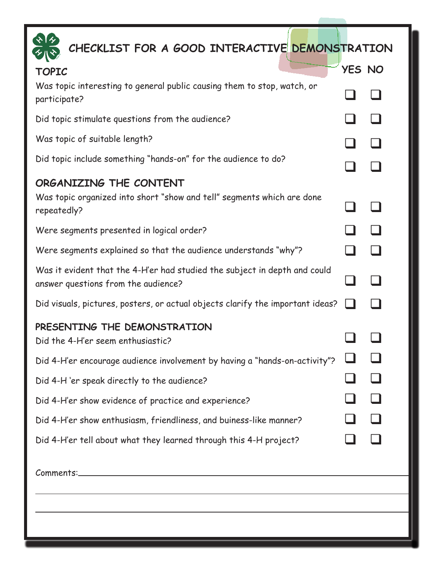| CHECKLIST FOR A GOOD INTERACTIVE DEMONSTRATION                                                                   |        |  |
|------------------------------------------------------------------------------------------------------------------|--------|--|
| <b>TOPIC</b>                                                                                                     | YES NO |  |
| Was topic interesting to general public causing them to stop, watch, or<br>participate?                          |        |  |
| Did topic stimulate questions from the audience?                                                                 |        |  |
| Was topic of suitable length?                                                                                    |        |  |
| Did topic include something "hands-on" for the audience to do?                                                   |        |  |
| ORGANIZING THE CONTENT                                                                                           |        |  |
| Was topic organized into short "show and tell" segments which are done<br>repeatedly?                            |        |  |
| Were segments presented in logical order?                                                                        |        |  |
| Were segments explained so that the audience understands "why"?                                                  |        |  |
| Was it evident that the 4-H'er had studied the subject in depth and could<br>answer questions from the audience? |        |  |
| Did visuals, pictures, posters, or actual objects clarify the important ideas?                                   |        |  |
| PRESENTING THE DEMONSTRATION                                                                                     |        |  |
| Did the 4-H'er seem enthusiastic?                                                                                |        |  |
| Did 4-H'er encourage audience involvement by having a "hands-on-activity"?                                       |        |  |
| Did 4-H 'er speak directly to the audience?                                                                      |        |  |
| Did 4-H'er show evidence of practice and experience?                                                             |        |  |
| Did 4-H'er show enthusiasm, friendliness, and buiness-like manner?                                               |        |  |
| Did 4-H'er tell about what they learned through this 4-H project?                                                |        |  |
|                                                                                                                  |        |  |
|                                                                                                                  |        |  |
|                                                                                                                  |        |  |
|                                                                                                                  |        |  |